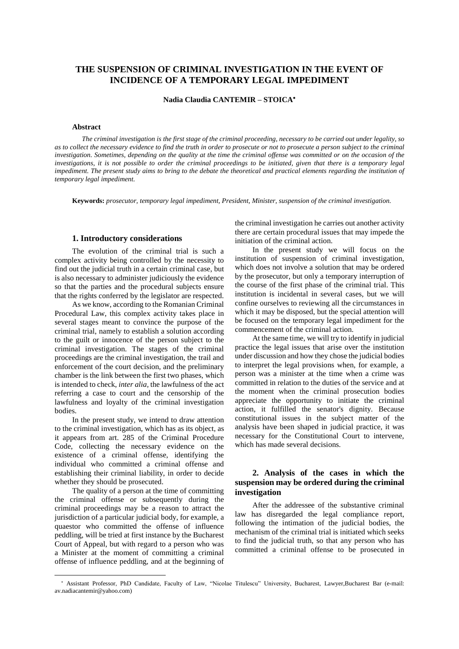# **THE SUSPENSION OF CRIMINAL INVESTIGATION IN THE EVENT OF INCIDENCE OF A TEMPORARY LEGAL IMPEDIMENT**

**Nadia Claudia CANTEMIR – STOICA**

#### **Abstract**

The criminal investigation is the first stage of the criminal proceeding, necessary to be carried out under legality, so as to collect the necessary evidence to find the truth in order to prosecute or not to prosecute a person subject to the criminal investigation. Sometimes, depending on the quality at the time the criminal offense was committed or on the occasion of the investigations, it is not possible to order the criminal proceedings to be initiated, given that there is a temporary legal impediment. The present study aims to bring to the debate the theoretical and practical elements regarding the institution of *temporary legal impediment.*

**Keywords:** *prosecutor, temporary legal impediment, President, Minister, suspension of the criminal investigation.*

### **1. Introductory considerations**

The evolution of the criminal trial is such a complex activity being controlled by the necessity to find out the judicial truth in a certain criminal case, but is also necessary to administer judiciously the evidence so that the parties and the procedural subjects ensure that the rights conferred by the legislator are respected.

As we know, according to the Romanian Criminal Procedural Law, this complex activity takes place in several stages meant to convince the purpose of the criminal trial, namely to establish a solution according to the guilt or innocence of the person subject to the criminal investigation. The stages of the criminal proceedings are the criminal investigation, the trail and enforcement of the court decision, and the preliminary chamber is the link between the first two phases, which is intended to check, *inter alia,* the lawfulness of the act referring a case to court and the censorship of the lawfulness and loyalty of the criminal investigation bodies.

In the present study, we intend to draw attention to the criminal investigation, which has as its object, as it appears from art. 285 of the Criminal Procedure Code, collecting the necessary evidence on the existence of a criminal offense, identifying the individual who committed a criminal offense and establishing their criminal liability, in order to decide whether they should be prosecuted.

The quality of a person at the time of committing the criminal offense or subsequently during the criminal proceedings may be a reason to attract the jurisdiction of a particular judicial body, for example, a quaestor who committed the offense of influence peddling, will be tried at first instance by the Bucharest Court of Appeal, but with regard to a person who was a Minister at the moment of committing a criminal offense of influence peddling, and at the beginning of

 $\overline{a}$ 

the criminal investigation he carries out another activity there are certain procedural issues that may impede the initiation of the criminal action.

In the present study we will focus on the institution of suspension of criminal investigation, which does not involve a solution that may be ordered by the prosecutor, but only a temporary interruption of the course of the first phase of the criminal trial. This institution is incidental in several cases, but we will confine ourselves to reviewing all the circumstances in which it may be disposed, but the special attention will be focused on the temporary legal impediment for the commencement of the criminal action.

At the same time, we will try to identify in judicial practice the legal issues that arise over the institution under discussion and how they chose the judicial bodies to interpret the legal provisions when, for example, a person was a minister at the time when a crime was committed in relation to the duties of the service and at the moment when the criminal prosecution bodies appreciate the opportunity to initiate the criminal action, it fulfilled the senator's dignity. Because constitutional issues in the subject matter of the analysis have been shaped in judicial practice, it was necessary for the Constitutional Court to intervene, which has made several decisions.

## **2. Analysis of the cases in which the suspension may be ordered during the criminal investigation**

After the addressee of the substantive criminal law has disregarded the legal compliance report, following the intimation of the judicial bodies, the mechanism of the criminal trial is initiated which seeks to find the judicial truth, so that any person who has committed a criminal offense to be prosecuted in

Assistant Professor, PhD Candidate, Faculty of Law, "Nicolae Titulescu" University, Bucharest, Lawyer,Bucharest Bar (e-mail: av.nadiacantemir@yahoo.com)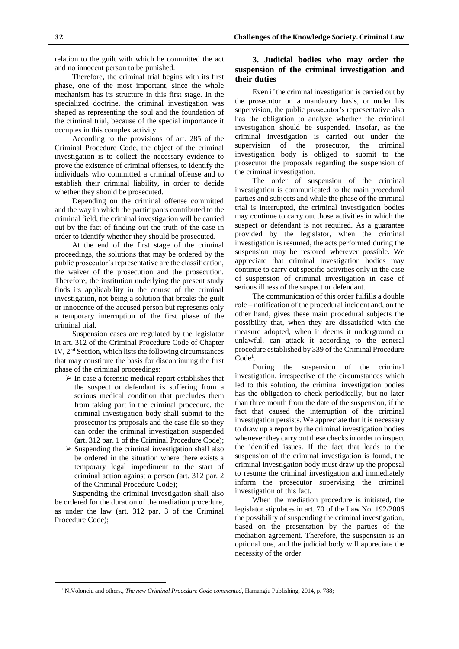**32 Challenges of the Knowledge Society. Criminal Law**

relation to the guilt with which he committed the act and no innocent person to be punished.

Therefore, the criminal trial begins with its first phase, one of the most important, since the whole mechanism has its structure in this first stage. In the specialized doctrine, the criminal investigation was shaped as representing the soul and the foundation of the criminal trial, because of the special importance it occupies in this complex activity.

According to the provisions of art. 285 of the Criminal Procedure Code, the object of the criminal investigation is to collect the necessary evidence to prove the existence of criminal offenses, to identify the individuals who committed a criminal offense and to establish their criminal liability, in order to decide whether they should be prosecuted.

Depending on the criminal offense committed and the way in which the participants contributed to the criminal field, the criminal investigation will be carried out by the fact of finding out the truth of the case in order to identify whether they should be prosecuted.

At the end of the first stage of the criminal proceedings, the solutions that may be ordered by the public prosecutor's representative are the classification, the waiver of the prosecution and the prosecution. Therefore, the institution underlying the present study finds its applicability in the course of the criminal investigation, not being a solution that breaks the guilt or innocence of the accused person but represents only a temporary interruption of the first phase of the criminal trial.

Suspension cases are regulated by the legislator in art. 312 of the Criminal Procedure Code of Chapter IV, 2<sup>nd</sup> Section, which lists the following circumstances that may constitute the basis for discontinuing the first phase of the criminal proceedings:

- $\triangleright$  In case a forensic medical report establishes that the suspect or defendant is suffering from a serious medical condition that precludes them from taking part in the criminal procedure, the criminal investigation body shall submit to the prosecutor its proposals and the case file so they can order the criminal investigation suspended (art. 312 par. 1 of the Criminal Procedure Code);
- $\triangleright$  Suspending the criminal investigation shall also be ordered in the situation where there exists a temporary legal impediment to the start of criminal action against a person (art. 312 par. 2 of the Criminal Procedure Code);

Suspending the criminal investigation shall also be ordered for the duration of the mediation procedure, as under the law (art. 312 par. 3 of the Criminal Procedure Code);

 $\overline{a}$ 

### **3. Judicial bodies who may order the suspension of the criminal investigation and their duties**

Even if the criminal investigation is carried out by the prosecutor on a mandatory basis, or under his supervision, the public prosecutor's representative also has the obligation to analyze whether the criminal investigation should be suspended. Insofar, as the criminal investigation is carried out under the supervision of the prosecutor, the criminal investigation body is obliged to submit to the prosecutor the proposals regarding the suspension of the criminal investigation.

The order of suspension of the criminal investigation is communicated to the main procedural parties and subjects and while the phase of the criminal trial is interrupted, the criminal investigation bodies may continue to carry out those activities in which the suspect or defendant is not required. As a guarantee provided by the legislator, when the criminal investigation is resumed, the acts performed during the suspension may be restored wherever possible. We appreciate that criminal investigation bodies may continue to carry out specific activities only in the case of suspension of criminal investigation in case of serious illness of the suspect or defendant.

The communication of this order fulfills a double role – notification of the procedural incident and, on the other hand, gives these main procedural subjects the possibility that, when they are dissatisfied with the measure adopted, when it deems it underground or unlawful, can attack it according to the general procedure established by 339 of the Criminal Procedure Code<sup>1</sup>.

During the suspension of the criminal investigation, irrespective of the circumstances which led to this solution, the criminal investigation bodies has the obligation to check periodically, but no later than three month from the date of the suspension, if the fact that caused the interruption of the criminal investigation persists. We appreciate that it is necessary to draw up a report by the criminal investigation bodies whenever they carry out these checks in order to inspect the identified issues. If the fact that leads to the suspension of the criminal investigation is found, the criminal investigation body must draw up the proposal to resume the criminal investigation and immediately inform the prosecutor supervising the criminal investigation of this fact.

When the mediation procedure is initiated, the legislator stipulates in art. 70 of the Law No. 192/2006 the possibility of suspending the criminal investigation, based on the presentation by the parties of the mediation agreement. Therefore, the suspension is an optional one, and the judicial body will appreciate the necessity of the order.

<sup>1</sup> N.Volonciu and others., *The new Criminal Procedure Code commented*, Hamangiu Publishing, 2014, p. 788;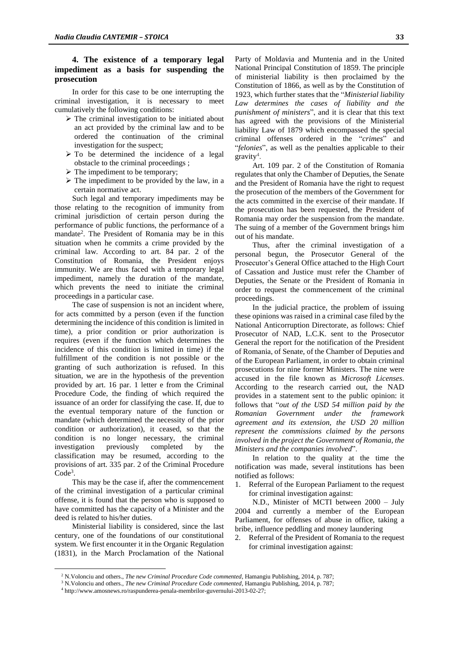## **4. The existence of a temporary legal impediment as a basis for suspending the prosecution**

In order for this case to be one interrupting the criminal investigation, it is necessary to meet cumulatively the following conditions:

- $\triangleright$  The criminal investigation to be initiated about an act provided by the criminal law and to be ordered the continuation of the criminal investigation for the suspect;
- $\triangleright$  To be determined the incidence of a legal obstacle to the criminal proceedings ;
- $\triangleright$  The impediment to be temporary;
- $\triangleright$  The impediment to be provided by the law, in a certain normative act.

Such legal and temporary impediments may be those relating to the recognition of immunity from criminal jurisdiction of certain person during the performance of public functions, the performance of a mandate<sup>2</sup>. The President of Romania may be in this situation when he commits a crime provided by the criminal law. According to art. 84 par. 2 of the Constitution of Romania, the President enjoys immunity. We are thus faced with a temporary legal impediment, namely the duration of the mandate, which prevents the need to initiate the criminal proceedings in a particular case.

The case of suspension is not an incident where, for acts committed by a person (even if the function determining the incidence of this condition is limited in time), a prior condition or prior authorization is requires (even if the function which determines the incidence of this condition is limited in time) if the fulfillment of the condition is not possible or the granting of such authorization is refused. In this situation, we are in the hypothesis of the prevention provided by art. 16 par. 1 letter e from the Criminal Procedure Code, the finding of which required the issuance of an order for classifying the case. If, due to the eventual temporary nature of the function or mandate (which determined the necessity of the prior condition or authorization), it ceased, so that the condition is no longer necessary, the criminal investigation previously completed by the classification may be resumed, according to the provisions of art. 335 par. 2 of the Criminal Procedure Code<sup>3</sup>.

This may be the case if, after the commencement of the criminal investigation of a particular criminal offense, it is found that the person who is supposed to have committed has the capacity of a Minister and the deed is related to his/her duties.

Ministerial liability is considered, since the last century, one of the foundations of our constitutional system. We first encounter it in the Organic Regulation (1831), in the March Proclamation of the National

 $\overline{a}$ 

Party of Moldavia and Muntenia and in the United National Principal Constitution of 1859. The principle of ministerial liability is then proclaimed by the Constitution of 1866, as well as by the Constitution of 1923, which further states that the "*Ministerial liability Law determines the cases of liability and the punishment of ministers*", and it is clear that this text has agreed with the provisions of the Ministerial liability Law of 1879 which encompassed the special criminal offenses ordered in the "*crimes*" and "*felonies*", as well as the penalties applicable to their  $gravity<sup>4</sup>$ .

Art. 109 par. 2 of the Constitution of Romania regulates that only the Chamber of Deputies, the Senate and the President of Romania have the right to request the prosecution of the members of the Government for the acts committed in the exercise of their mandate. If the prosecution has been requested, the President of Romania may order the suspension from the mandate. The suing of a member of the Government brings him out of his mandate.

Thus, after the criminal investigation of a personal begun, the Prosecutor General of the Prosecutor's General Office attached to the High Court of Cassation and Justice must refer the Chamber of Deputies, the Senate or the President of Romania in order to request the commencement of the criminal proceedings.

In the judicial practice, the problem of issuing these opinions was raised in a criminal case filed by the National Anticorruption Directorate, as follows: Chief Prosecutor of NAD, L.C.K. sent to the Prosecutor General the report for the notification of the President of Romania, of Senate, of the Chamber of Deputies and of the European Parliament, in order to obtain criminal prosecutions for nine former Ministers. The nine were accused in the file known as *Microsoft Licenses*. According to the research carried out, the NAD provides in a statement sent to the public opinion: it follows that "*out of the USD 54 million paid by the Romanian Government under the framework agreement and its extension, the USD 20 million represent the commissions claimed by the persons involved in the project the Government of Romania, the Ministers and the companies involved*".

In relation to the quality at the time the notification was made, several institutions has been notified as follows:

1. Referral of the European Parliament to the request for criminal investigation against:

N.D., Minister of MCTI between 2000 – July 2004 and currently a member of the European Parliament, for offenses of abuse in office, taking a bribe, influence peddling and money laundering

2. Referral of the President of Romania to the request for criminal investigation against:

<sup>2</sup> N.Volonciu and others., *The new Criminal Procedure Code commented*, Hamangiu Publishing, 2014, p. 787;

<sup>3</sup> N.Volonciu and others., *The new Criminal Procedure Code commented*, Hamangiu Publishing, 2014, p. 787;

<sup>4</sup> http://www.amosnews.ro/raspunderea-penala-membrilor-guvernului-2013-02-27;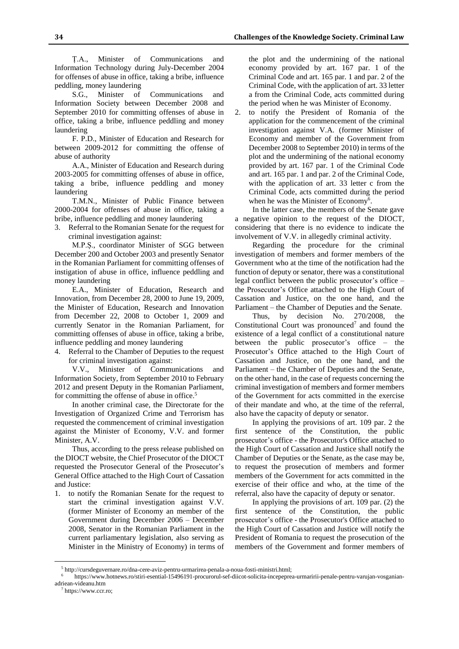Ț.A., Minister of Communications and Information Technology during July-December 2004 for offenses of abuse in office, taking a bribe, influence peddling, money laundering

S.G., Minister of Communications and Information Society between December 2008 and September 2010 for committing offenses of abuse in office, taking a bribe, influence peddling and money laundering

F. P.D., Minister of Education and Research for between 2009-2012 for committing the offense of abuse of authority

A.A., Minister of Education and Research during 2003-2005 for committing offenses of abuse in office, taking a bribe, influence peddling and money laundering

T.M.N., Minister of Public Finance between 2000-2004 for offenses of abuse in office, taking a bribe, influence peddling and money laundering

3. Referral to the Romanian Senate for the request for criminal investigation against:

M.P.Ș., coordinator Minister of SGG between December 200 and October 2003 and presently Senator in the Romanian Parliament for committing offenses of instigation of abuse in office, influence peddling and money laundering

E.A., Minister of Education, Research and Innovation, from December 28, 2000 to June 19, 2009, the Minister of Education, Research and Innovation from December 22, 2008 to October 1, 2009 and currently Senator in the Romanian Parliament, for committing offenses of abuse in office, taking a bribe, influence peddling and money laundering

4. Referral to the Chamber of Deputies to the request for criminal investigation against:

V.V., Minister of Communications and Information Society, from September 2010 to February 2012 and present Deputy in the Romanian Parliament, for committing the offense of abuse in office.<sup>5</sup>

In another criminal case, the Directorate for the Investigation of Organized Crime and Terrorism has requested the commencement of criminal investigation against the Minister of Economy, V.V. and former Minister, A.V.

Thus, according to the press release published on the DIOCT website, the Chief Prosecutor of the DIOCT requested the Prosecutor General of the Prosecutor's General Office attached to the High Court of Cassation and Justice:

1. to notify the Romanian Senate for the request to start the criminal investigation against V.V. (former Minister of Economy an member of the Government during December 2006 – December 2008, Senator in the Romanian Parliament in the current parliamentary legislation, also serving as Minister in the Ministry of Economy) in terms of

the plot and the undermining of the national economy provided by art. 167 par. 1 of the Criminal Code and art. 165 par. 1 and par. 2 of the Criminal Code, with the application of art. 33 letter a from the Criminal Code, acts committed during the period when he was Minister of Economy.

2. to notify the President of Romania of the application for the commencement of the criminal investigation against V.A. (former Minister of Economy and member of the Government from December 2008 to September 2010) in terms of the plot and the undermining of the national economy provided by art. 167 par. 1 of the Criminal Code and art. 165 par. 1 and par. 2 of the Criminal Code, with the application of art. 33 letter c from the Criminal Code, acts committed during the period when he was the Minister of Economy<sup>6</sup>.

In the latter case, the members of the Senate gave a negative opinion to the request of the DIOCT, considering that there is no evidence to indicate the involvement of V.V. in allegedly criminal activity.

Regarding the procedure for the criminal investigation of members and former members of the Government who at the time of the notification had the function of deputy or senator, there was a constitutional legal conflict between the public prosecutor's office – the Prosecutor's Office attached to the High Court of Cassation and Justice, on the one hand, and the Parliament – the Chamber of Deputies and the Senate.

Thus, by decision No. 270/2008, the Constitutional Court was pronounced<sup>7</sup> and found the existence of a legal conflict of a constitutional nature between the public prosecutor's office – the Prosecutor's Office attached to the High Court of Cassation and Justice, on the one hand, and the Parliament – the Chamber of Deputies and the Senate, on the other hand, in the case of requests concerning the criminal investigation of members and former members of the Government for acts committed in the exercise of their mandate and who, at the time of the referral, also have the capacity of deputy or senator.

In applying the provisions of art. 109 par. 2 the first sentence of the Constitution, the public prosecutor's office - the Prosecutor's Office attached to the High Court of Cassation and Justice shall notify the Chamber of Deputies or the Senate, as the case may be, to request the prosecution of members and former members of the Government for acts committed in the exercise of their office and who, at the time of the referral, also have the capacity of deputy or senator.

In applying the provisions of art. 109 par. (2) the first sentence of the Constitution, the public prosecutor's office - the Prosecutor's Office attached to the High Court of Cassation and Justice will notify the President of Romania to request the prosecution of the members of the Government and former members of

 $\overline{a}$ 

<sup>5</sup> http://cursdeguvernare.ro/dna-cere-aviz-pentru-urmarirea-penala-a-noua-fosti-ministri.html;

<sup>6</sup> https://www.hotnews.ro/stiri-esential-15496191-procurorul-sef-diicot-solicita-incepeprea-urmaririi-penale-pentru-varujan-vosganianadriean-videanu.htm

 $^7$  https://www.ccr.ro;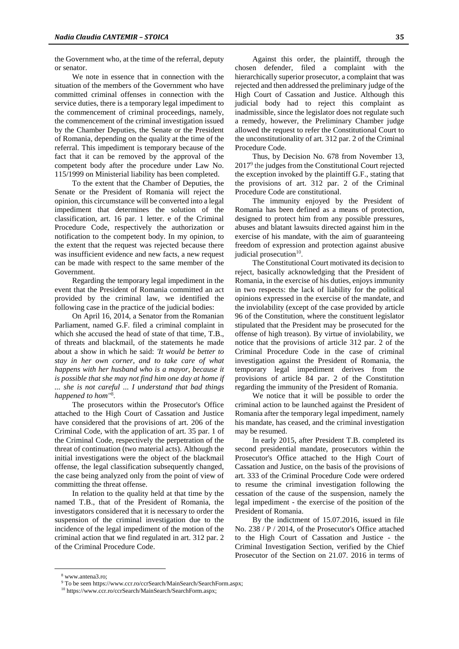the Government who, at the time of the referral, deputy or senator.

We note in essence that in connection with the situation of the members of the Government who have committed criminal offenses in connection with the service duties, there is a temporary legal impediment to the commencement of criminal proceedings, namely, the commencement of the criminal investigation issued by the Chamber Deputies, the Senate or the President of Romania, depending on the quality at the time of the referral. This impediment is temporary because of the fact that it can be removed by the approval of the competent body after the procedure under Law No. 115/1999 on Ministerial liability has been completed.

To the extent that the Chamber of Deputies, the Senate or the President of Romania will reject the opinion, this circumstance will be converted into a legal impediment that determines the solution of the classification, art. 16 par. 1 letter. e of the Criminal Procedure Code, respectively the authorization or notification to the competent body. In my opinion, to the extent that the request was rejected because there was insufficient evidence and new facts, a new request can be made with respect to the same member of the Government.

Regarding the temporary legal impediment in the event that the President of Romania committed an act provided by the criminal law, we identified the following case in the practice of the judicial bodies:

On April 16, 2014, a Senator from the Romanian Parliament, named G.F. filed a criminal complaint in which she accused the head of state of that time, T.B., of threats and blackmail, of the statements he made about a show in which he said: *'It would be better to stay in her own corner, and to take care of what happens with her husband who is a mayor, because it is possible that she may not find him one day at home if ... she is not careful ... I understand that bad things happened to hom"* 8 *.*

The prosecutors within the Prosecutor's Office attached to the High Court of Cassation and Justice have considered that the provisions of art. 206 of the Criminal Code, with the application of art. 35 par. 1 of the Criminal Code, respectively the perpetration of the threat of continuation (two material acts). Although the initial investigations were the object of the blackmail offense, the legal classification subsequently changed, the case being analyzed only from the point of view of committing the threat offense.

In relation to the quality held at that time by the named T.B., that of the President of Romania, the investigators considered that it is necessary to order the suspension of the criminal investigation due to the incidence of the legal impediment of the motion of the criminal action that we find regulated in art. 312 par. 2 of the Criminal Procedure Code.

Against this order, the plaintiff, through the chosen defender, filed a complaint with the hierarchically superior prosecutor, a complaint that was rejected and then addressed the preliminary judge of the High Court of Cassation and Justice. Although this judicial body had to reject this complaint as inadmissible, since the legislator does not regulate such a remedy, however, the Preliminary Chamber judge allowed the request to refer the Constitutional Court to the unconstitutionality of art. 312 par. 2 of the Criminal Procedure Code.

Thus, by Decision No. 678 from November 13, 2017<sup>9</sup> the judges from the Constitutional Court rejected the exception invoked by the plaintiff G.F., stating that the provisions of art. 312 par. 2 of the Criminal Procedure Code are constitutional.

The immunity enjoyed by the President of Romania has been defined as a means of protection, designed to protect him from any possible pressures, abuses and blatant lawsuits directed against him in the exercise of his mandate, with the aim of guaranteeing freedom of expression and protection against abusive judicial prosecution<sup>10</sup>.

The Constitutional Court motivated its decision to reject, basically acknowledging that the President of Romania, in the exercise of his duties, enjoys immunity in two respects: the lack of liability for the political opinions expressed in the exercise of the mandate, and the inviolability (except of the case provided by article 96 of the Constitution, where the constituent legislator stipulated that the President may be prosecuted for the offense of high treason). By virtue of inviolability, we notice that the provisions of article 312 par. 2 of the Criminal Procedure Code in the case of criminal investigation against the President of Romania, the temporary legal impediment derives from the provisions of article 84 par. 2 of the Constitution regarding the immunity of the President of Romania.

We notice that it will be possible to order the criminal action to be launched against the President of Romania after the temporary legal impediment, namely his mandate, has ceased, and the criminal investigation may be resumed.

In early 2015, after President T.B. completed its second presidential mandate, prosecutors within the Prosecutor's Office attached to the High Court of Cassation and Justice, on the basis of the provisions of art. 333 of the Criminal Procedure Code were ordered to resume the criminal investigation following the cessation of the cause of the suspension, namely the legal impediment - the exercise of the position of the President of Romania.

By the indictment of 15.07.2016, issued in file No. 238 / P / 2014, of the Prosecutor's Office attached to the High Court of Cassation and Justice - the Criminal Investigation Section, verified by the Chief Prosecutor of the Section on 21.07. 2016 in terms of

 $\overline{a}$ 

<sup>8</sup> www.antena3.ro;

<sup>9</sup> To be seen https://www.ccr.ro/ccrSearch/MainSearch/SearchForm.aspx;

<sup>&</sup>lt;sup>10</sup> https://www.ccr.ro/ccrSearch/MainSearch/SearchForm.aspx;